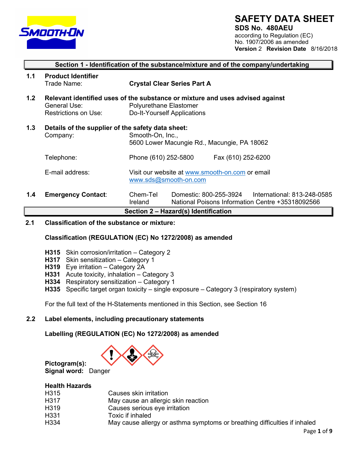

# **SAFETY DATA SHEET**

**SDS No. 480AEU** according to Regulation (EC) No. 1907/2006 as amended **Version** 2 **Revision Date** 8/16/2018

|     |                                                               | Section 1 - Identification of the substance/mixture and of the company/undertaking                                                     |  |  |
|-----|---------------------------------------------------------------|----------------------------------------------------------------------------------------------------------------------------------------|--|--|
| 1.1 | <b>Product Identifier</b><br>Trade Name:                      | <b>Crystal Clear Series Part A</b>                                                                                                     |  |  |
| 1.2 | General Use:<br>Restrictions on Use:                          | Relevant identified uses of the substance or mixture and uses advised against<br>Polyurethane Elastomer<br>Do-It-Yourself Applications |  |  |
| 1.3 | Details of the supplier of the safety data sheet:<br>Company: | Smooth-On, Inc.,<br>5600 Lower Macungie Rd., Macungie, PA 18062                                                                        |  |  |
|     | Telephone:                                                    | Phone (610) 252-5800<br>Fax (610) 252-6200                                                                                             |  |  |
|     | E-mail address:                                               | Visit our website at www.smooth-on.com or email<br>www.sds@smooth-on.com                                                               |  |  |
| 1.4 | <b>Emergency Contact:</b>                                     | Chem-Tel<br>Domestic: 800-255-3924<br>International: 813-248-0585<br>National Poisons Information Centre +35318092566<br>Ireland       |  |  |

**Section 2 – Hazard(s) Identification**

# **2.1 Classification of the substance or mixture:**

## **Classification (REGULATION (EC) No 1272/2008) as amended**

- **H315** Skin corrosion/irritation Category 2
- **H317** Skin sensitization Category 1
- **H319** Eye irritation Category 2A
- **H331** Acute toxicity, inhalation Category 3
- **H334** Respiratory sensitization Category 1
- **H335** Specific target organ toxicity single exposure Category 3 (respiratory system)

For the full text of the H-Statements mentioned in this Section, see Section 16

## **2.2 Label elements, including precautionary statements**

**Labelling (REGULATION (EC) No 1272/2008) as amended**



**Health Hazards**

**Pictogram(s):** 

| .    |                                                                           |  |
|------|---------------------------------------------------------------------------|--|
| H315 | Causes skin irritation                                                    |  |
| H317 | May cause an allergic skin reaction                                       |  |
| H319 | Causes serious eye irritation                                             |  |
| H331 | Toxic if inhaled                                                          |  |
| H334 | May cause allergy or asthma symptoms or breathing difficulties if inhaled |  |
|      |                                                                           |  |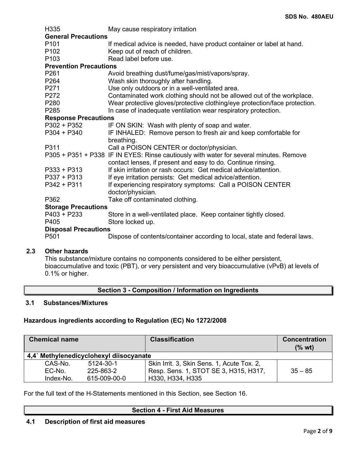| H335                          | May cause respiratory irritation                                                       |  |  |  |  |  |
|-------------------------------|----------------------------------------------------------------------------------------|--|--|--|--|--|
| <b>General Precautions</b>    |                                                                                        |  |  |  |  |  |
| P <sub>101</sub>              | If medical advice is needed, have product container or label at hand.                  |  |  |  |  |  |
| P <sub>102</sub>              | Keep out of reach of children.                                                         |  |  |  |  |  |
| P <sub>103</sub>              | Read label before use.                                                                 |  |  |  |  |  |
| <b>Prevention Precautions</b> |                                                                                        |  |  |  |  |  |
| P261                          | Avoid breathing dust/fume/gas/mist/vapors/spray.                                       |  |  |  |  |  |
| P264                          | Wash skin thoroughly after handling.                                                   |  |  |  |  |  |
| P271                          | Use only outdoors or in a well-ventilated area.                                        |  |  |  |  |  |
| P272                          | Contaminated work clothing should not be allowed out of the workplace.                 |  |  |  |  |  |
| P280                          | Wear protective gloves/protective clothing/eye protection/face protection.             |  |  |  |  |  |
| P285                          | In case of inadequate ventilation wear respiratory protection.                         |  |  |  |  |  |
| <b>Response Precautions</b>   |                                                                                        |  |  |  |  |  |
| $P302 + P352$                 | IF ON SKIN: Wash with plenty of soap and water.                                        |  |  |  |  |  |
| $P304 + P340$                 | IF INHALED: Remove person to fresh air and keep comfortable for                        |  |  |  |  |  |
|                               | breathing.                                                                             |  |  |  |  |  |
| P311                          | Call a POISON CENTER or doctor/physician.                                              |  |  |  |  |  |
|                               | P305 + P351 + P338 IF IN EYES: Rinse cautiously with water for several minutes. Remove |  |  |  |  |  |
|                               | contact lenses, if present and easy to do. Continue rinsing.                           |  |  |  |  |  |
| $P333 + P313$                 | If skin irritation or rash occurs: Get medical advice/attention.                       |  |  |  |  |  |
| $P337 + P313$                 | If eye irritation persists: Get medical advice/attention.                              |  |  |  |  |  |
| P342 + P311                   | If experiencing respiratory symptoms: Call a POISON CENTER                             |  |  |  |  |  |
|                               | doctor/physician.                                                                      |  |  |  |  |  |
| P362                          | Take off contaminated clothing.                                                        |  |  |  |  |  |
| <b>Storage Precautions</b>    |                                                                                        |  |  |  |  |  |
| $P403 + P233$                 | Store in a well-ventilated place. Keep container tightly closed.                       |  |  |  |  |  |
| P405                          | Store locked up.                                                                       |  |  |  |  |  |
| <b>Disposal Precautions</b>   |                                                                                        |  |  |  |  |  |
| P501                          | Dispose of contents/container according to local, state and federal laws.              |  |  |  |  |  |
|                               |                                                                                        |  |  |  |  |  |

# **2.3 Other hazards**

This substance/mixture contains no components considered to be either persistent, bioaccumulative and toxic (PBT), or very persistent and very bioaccumulative (vPvB) at levels of 0.1% or higher.

**Section 3 - Composition / Information on Ingredients**

## **3.1 Substances/Mixtures**

# **Hazardous ingredients according to Regulation (EC) No 1272/2008**

| <b>Chemical name</b> |                                        | <b>Classification</b>                      | <b>Concentration</b><br>(% wt) |
|----------------------|----------------------------------------|--------------------------------------------|--------------------------------|
|                      | 4.4 Methylenedicyclohexyl diisocyanate |                                            |                                |
| CAS-No.              | 5124-30-1                              | Skin Irrit. 3, Skin Sens. 1, Acute Tox. 2, |                                |
| EC-No.               | 225-863-2                              | Resp. Sens. 1, STOT SE 3, H315, H317,      | $35 - 85$                      |
| Index-No.            | 615-009-00-0                           | H330, H334, H335                           |                                |

For the full text of the H-Statements mentioned in this Section, see Section 16.

## **Section 4 - First Aid Measures**

# **4.1 Description of first aid measures**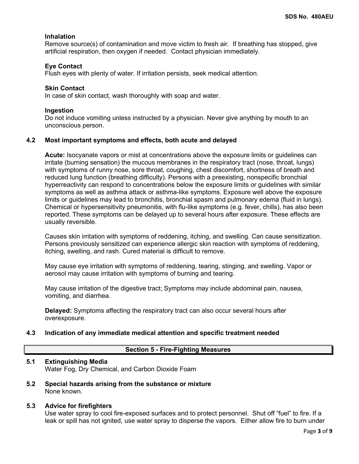## **Inhalation**

Remove source(s) of contamination and move victim to fresh air. If breathing has stopped, give artificial respiration, then oxygen if needed. Contact physician immediately.

## **Eye Contact**

Flush eyes with plenty of water. If irritation persists, seek medical attention.

## **Skin Contact**

In case of skin contact, wash thoroughly with soap and water.

## **Ingestion**

Do not induce vomiting unless instructed by a physician. Never give anything by mouth to an unconscious person.

## **4.2 Most important symptoms and effects, both acute and delayed**

**Acute:** Isocyanate vapors or mist at concentrations above the exposure limits or guidelines can irritate (burning sensation) the mucous membranes in the respiratory tract (nose, throat, lungs) with symptoms of runny nose, sore throat, coughing, chest discomfort, shortness of breath and reduced lung function (breathing difficulty). Persons with a preexisting, nonspecific bronchial hyperreactivity can respond to concentrations below the exposure limits or guidelines with similar symptoms as well as asthma attack or asthma-like symptoms. Exposure well above the exposure limits or guidelines may lead to bronchitis, bronchial spasm and pulmonary edema (fluid in lungs). Chemical or hypersensitivity pneumonitis, with flu-like symptoms (e.g. fever, chills), has also been reported. These symptoms can be delayed up to several hours after exposure. These effects are usually reversible.

Causes skin irritation with symptoms of reddening, itching, and swelling. Can cause sensitization. Persons previously sensitized can experience allergic skin reaction with symptoms of reddening, itching, swelling, and rash. Cured material is difficult to remove.

May cause eye irritation with symptoms of reddening, tearing, stinging, and swelling. Vapor or aerosol may cause irritation with symptoms of burning and tearing.

May cause irritation of the digestive tract; Symptoms may include abdominal pain, nausea, vomiting, and diarrhea.

**Delayed:** Symptoms affecting the respiratory tract can also occur several hours after overexposure.

## **4.3 Indication of any immediate medical attention and specific treatment needed**

## **Section 5 - Fire-Fighting Measures**

## **5.1 Extinguishing Media**

Water Fog, Dry Chemical, and Carbon Dioxide Foam

**5.2 Special hazards arising from the substance or mixture** None known.

## **5.3 Advice for firefighters**

Use water spray to cool fire-exposed surfaces and to protect personnel. Shut off "fuel" to fire. If a leak or spill has not ignited, use water spray to disperse the vapors. Either allow fire to burn under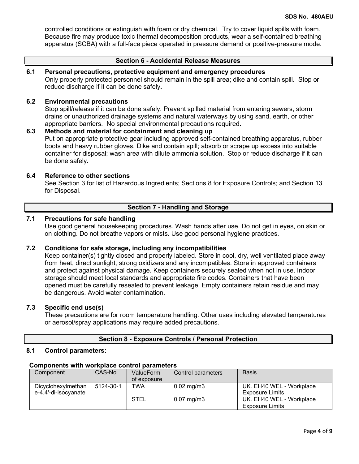controlled conditions or extinguish with foam or dry chemical. Try to cover liquid spills with foam. Because fire may produce toxic thermal decomposition products, wear a self-contained breathing apparatus (SCBA) with a full-face piece operated in pressure demand or positive-pressure mode.

## **Section 6 - Accidental Release Measures**

# **6.1 Personal precautions, protective equipment and emergency procedures**

Only properly protected personnel should remain in the spill area; dike and contain spill. Stop or reduce discharge if it can be done safely**.**

## **6.2 Environmental precautions**

Stop spill/release if it can be done safely. Prevent spilled material from entering sewers, storm drains or unauthorized drainage systems and natural waterways by using sand, earth, or other appropriate barriers.No special environmental precautions required.

## **6.3 Methods and material for containment and cleaning up** Put on appropriate protective gear including approved self-contained breathing apparatus, rubber boots and heavy rubber gloves. Dike and contain spill; absorb or scrape up excess into suitable container for disposal; wash area with dilute ammonia solution. Stop or reduce discharge if it can be done safely**.**

## **6.4 Reference to other sections**

See Section 3 for list of Hazardous Ingredients; Sections 8 for Exposure Controls; and Section 13 for Disposal.

## **Section 7 - Handling and Storage**

## **7.1 Precautions for safe handling**

Use good general housekeeping procedures. Wash hands after use. Do not get in eyes, on skin or on clothing. Do not breathe vapors or mists. Use good personal hygiene practices.

## **7.2 Conditions for safe storage, including any incompatibilities**

Keep container(s) tightly closed and properly labeled. Store in cool, dry, well ventilated place away from heat, direct sunlight, strong oxidizers and any incompatibles. Store in approved containers and protect against physical damage. Keep containers securely sealed when not in use. Indoor storage should meet local standards and appropriate fire codes. Containers that have been opened must be carefully resealed to prevent leakage. Empty containers retain residue and may be dangerous. Avoid water contamination.

## **7.3 Specific end use(s)**

These precautions are for room temperature handling. Other uses including elevated temperatures or aerosol/spray applications may require added precautions.

## **Section 8 - Exposure Controls / Personal Protection**

### **8.1 Control parameters:**

| Component            | CAS-No.   | ValueForm   | Control parameters    | <b>Basis</b>             |  |  |
|----------------------|-----------|-------------|-----------------------|--------------------------|--|--|
|                      |           | of exposure |                       |                          |  |  |
| Dicyclohexylmethan   | 5124-30-1 | <b>TWA</b>  | $0.02 \text{ mg/m}$ 3 | UK. EH40 WEL - Workplace |  |  |
| e-4,4'-di-isocyanate |           |             |                       | <b>Exposure Limits</b>   |  |  |
|                      |           | <b>STEL</b> | $0.07 \text{ mg/m}$ 3 | UK. EH40 WEL - Workplace |  |  |
|                      |           |             |                       | <b>Exposure Limits</b>   |  |  |

### **Components with workplace control parameters**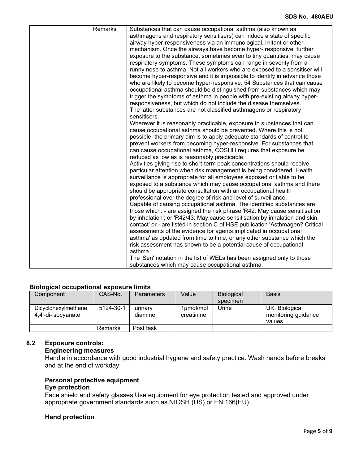| Remarks |                                                                               |
|---------|-------------------------------------------------------------------------------|
|         | Substances that can cause occupational asthma (also known as                  |
|         | asthmagens and respiratory sensitisers) can induce a state of specific        |
|         | airway hyper-responsiveness via an immunological, irritant or other           |
|         | mechanism. Once the airways have become hyper- responsive, further            |
|         | exposure to the substance, sometimes even to tiny quantities, may cause       |
|         | respiratory symptoms. These symptoms can range in severity from a             |
|         | runny nose to asthma. Not all workers who are exposed to a sensitiser will    |
|         | become hyper-responsive and it is impossible to identify in advance those     |
|         | who are likely to become hyper-responsive. 54 Substances that can cause       |
|         | occupational asthma should be distinguished from substances which may         |
|         | trigger the symptoms of asthma in people with pre-existing airway hyper-      |
|         | responsiveness, but which do not include the disease themselves.              |
|         |                                                                               |
|         | The latter substances are not classified asthmagens or respiratory            |
|         | sensitisers.                                                                  |
|         | Wherever it is reasonably practicable, exposure to substances that can        |
|         | cause occupational asthma should be prevented. Where this is not              |
|         | possible, the primary aim is to apply adequate standards of control to        |
|         | prevent workers from becoming hyper-responsive. For substances that           |
|         | can cause occupational asthma, COSHH requires that exposure be                |
|         | reduced as low as is reasonably practicable.                                  |
|         | Activities giving rise to short-term peak concentrations should receive       |
|         | particular attention when risk management is being considered. Health         |
|         | surveillance is appropriate for all employees exposed or liable to be         |
|         | exposed to a substance which may cause occupational asthma and there          |
|         | should be appropriate consultation with an occupational health                |
|         | professional over the degree of risk and level of surveillance.               |
|         | Capable of causing occupational asthma. The identified substances are         |
|         | those which: - are assigned the risk phrase 'R42: May cause sensitisation     |
|         | by inhalation'; or 'R42/43: May cause sensitisation by inhalation and skin    |
|         | contact' or - are listed in section C of HSE publication 'Asthmagen? Critical |
|         | assessments of the evidence for agents implicated in occupational             |
|         |                                                                               |
|         | asthma' as updated from time to time, or any other substance which the        |
|         | risk assessment has shown to be a potential cause of occupational             |
|         | asthma.                                                                       |
|         | The 'Sen' notation in the list of WELs has been assigned only to those        |
|         | substances which may cause occupational asthma.                               |

## **Biological occupational exposure limits**

| Component                                 | CAS-No.   | <b>Parameters</b>  | Value                         | <b>Biological</b><br>specimen | <b>Basis</b>                                    |
|-------------------------------------------|-----------|--------------------|-------------------------------|-------------------------------|-------------------------------------------------|
| Dicyclohexylmethane<br>4,4'-di-isocyanate | 5124-30-1 | urinary<br>diamine | $1 \mu$ mol/mol<br>creatinine | Urine                         | UK. Biological<br>monitoring guidance<br>values |
|                                           | Remarks   | Post task          |                               |                               |                                                 |

# **8.2 Exposure controls:**

## **Engineering measures**

Handle in accordance with good industrial hygiene and safety practice. Wash hands before breaks and at the end of workday.

## **Personal protective equipment**

## **Eye protection**

Face shield and safety glasses Use equipment for eye protection tested and approved under appropriate government standards such as NIOSH (US) or EN 166(EU).

# **Hand protection**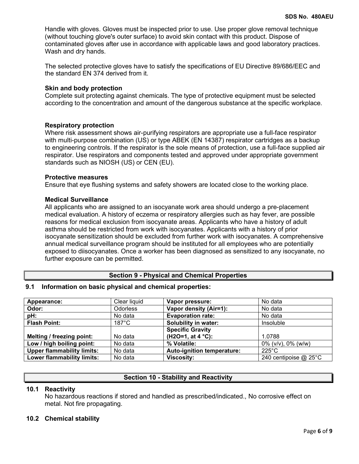Handle with gloves. Gloves must be inspected prior to use. Use proper glove removal technique (without touching glove's outer surface) to avoid skin contact with this product. Dispose of contaminated gloves after use in accordance with applicable laws and good laboratory practices. Wash and dry hands.

The selected protective gloves have to satisfy the specifications of EU Directive 89/686/EEC and the standard EN 374 derived from it.

## **Skin and body protection**

Complete suit protecting against chemicals. The type of protective equipment must be selected according to the concentration and amount of the dangerous substance at the specific workplace.

## **Respiratory protection**

Where risk assessment shows air-purifying respirators are appropriate use a full-face respirator with multi-purpose combination (US) or type ABEK (EN 14387) respirator cartridges as a backup to engineering controls. If the respirator is the sole means of protection, use a full-face supplied air respirator. Use respirators and components tested and approved under appropriate government standards such as NIOSH (US) or CEN (EU).

## **Protective measures**

Ensure that eye flushing systems and safety showers are located close to the working place.

## **Medical Surveillance**

All applicants who are assigned to an isocyanate work area should undergo a pre-placement medical evaluation. A history of eczema or respiratory allergies such as hay fever, are possible reasons for medical exclusion from isocyanate areas. Applicants who have a history of adult asthma should be restricted from work with isocyanates. Applicants with a history of prior isocyanate sensitization should be excluded from further work with isocyanates. A comprehensive annual medical surveillance program should be instituted for all employees who are potentially exposed to diisocyanates. Once a worker has been diagnosed as sensitized to any isocyanate, no further exposure can be permitted.

## **Section 9 - Physical and Chemical Properties**

## **9.1 Information on basic physical and chemical properties:**

| Appearance:                       | Clear liquid    | Vapor pressure:             | No data                    |
|-----------------------------------|-----------------|-----------------------------|----------------------------|
| Odor:                             | <b>Odorless</b> | Vapor density (Air=1):      | No data                    |
| pH:                               | No data         | <b>Evaporation rate:</b>    | No data                    |
| <b>Flash Point:</b>               | $187^{\circ}$ C | <b>Solubility in water:</b> | Insoluble                  |
|                                   |                 | <b>Specific Gravity</b>     |                            |
| Melting / freezing point:         | No data         | (H2O=1, at $4 °C$ ):        | 1.0788                     |
| Low / high boiling point:         | No data         | % Volatile:                 | $0\%$ (v/v), $0\%$ (w/w)   |
| <b>Upper flammability limits:</b> | No data         | Auto-ignition temperature:  | $225^{\circ}$ C            |
| <b>Lower flammability limits:</b> | No data         | <b>Viscosity:</b>           | 240 centipoise $@$ 25 $°C$ |

## **Section 10 - Stability and Reactivity**

## **10.1 Reactivity**

No hazardous reactions if stored and handled as prescribed/indicated., No corrosive effect on metal. Not fire propagating.

## **10.2 Chemical stability**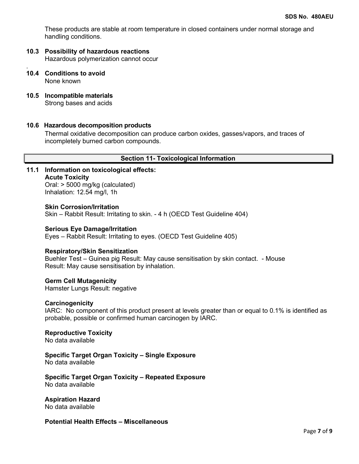These products are stable at room temperature in closed containers under normal storage and handling conditions.

- **10.3 Possibility of hazardous reactions** Hazardous polymerization cannot occur
- . **10.4 Conditions to avoid** None known
- **10.5 Incompatible materials** Strong bases and acids

## **10.6 Hazardous decomposition products**

Thermal oxidative decomposition can produce carbon oxides, gasses/vapors, and traces of incompletely burned carbon compounds.

## **Section 11- Toxicological Information**

**11.1 Information on toxicological effects: Acute Toxicity** Oral: > 5000 mg/kg (calculated)

Inhalation: 12.54 mg/l, 1h

**Skin Corrosion/Irritation** Skin – Rabbit Result: Irritating to skin. - 4 h (OECD Test Guideline 404)

**Serious Eye Damage/Irritation** Eyes – Rabbit Result: Irritating to eyes. (OECD Test Guideline 405)

## **Respiratory/Skin Sensitization**

Buehler Test – Guinea pig Result: May cause sensitisation by skin contact. - Mouse Result: May cause sensitisation by inhalation.

**Germ Cell Mutagenicity** Hamster Lungs Result: negative

## **Carcinogenicity**

IARC: No component of this product present at levels greater than or equal to 0.1% is identified as probable, possible or confirmed human carcinogen by IARC.

## **Reproductive Toxicity**

No data available

### **Specific Target Organ Toxicity – Single Exposure** No data available

**Specific Target Organ Toxicity – Repeated Exposure** No data available

**Aspiration Hazard** No data available

**Potential Health Effects – Miscellaneous**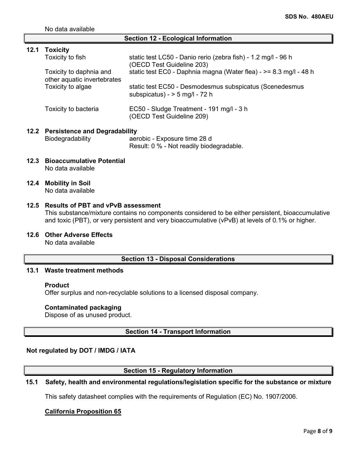No data available

### **Section 12 - Ecological Information**

| 12.1 | <b>Toxicity</b><br>Toxicity to fish<br>Toxicity to daphnia and<br>other aquatic invertebrates<br>Toxicity to algae | static test LC50 - Danio rerio (zebra fish) - 1.2 mg/l - 96 h<br>(OECD Test Guideline 203)<br>static test EC0 - Daphnia magna (Water flea) - > = 8.3 mg/l - 48 h<br>static test EC50 - Desmodesmus subspicatus (Scenedesmus<br>subspicatus) - $>$ 5 mg/l - 72 h |
|------|--------------------------------------------------------------------------------------------------------------------|-----------------------------------------------------------------------------------------------------------------------------------------------------------------------------------------------------------------------------------------------------------------|
|      | Toxicity to bacteria                                                                                               | EC50 - Sludge Treatment - 191 mg/l - 3 h<br>(OECD Test Guideline 209)                                                                                                                                                                                           |
|      | 12.2 Persistence and Degradability<br>Biodegradability                                                             | aerobic - Exposure time 28 d                                                                                                                                                                                                                                    |

- Result: 0 % Not readily biodegradable.
- **12.3 Bioaccumulative Potential** No data available
- **12.4 Mobility in Soil** No data available

## **12.5 Results of PBT and vPvB assessment**

This substance/mixture contains no components considered to be either persistent, bioaccumulative and toxic (PBT), or very persistent and very bioaccumulative (vPvB) at levels of 0.1% or higher.

**12.6 Other Adverse Effects**

No data available

# **Section 13 - Disposal Considerations**

## **13.1 Waste treatment methods**

### **Product**

Offer surplus and non-recyclable solutions to a licensed disposal company.

### **Contaminated packaging**

Dispose of as unused product.

## **Section 14 - Transport Information**

## **Not regulated by DOT / IMDG / IATA**

## **Section 15 - Regulatory Information**

## **15.1 Safety, health and environmental regulations/legislation specific for the substance or mixture**

This safety datasheet complies with the requirements of Regulation (EC) No. 1907/2006.

## **California Proposition 65**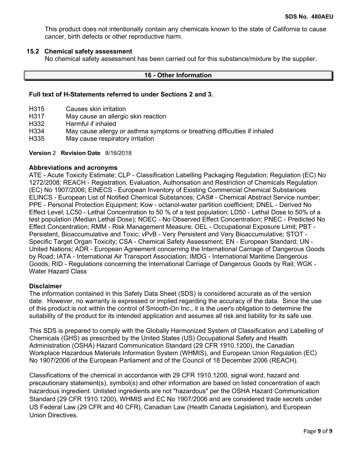This product does not intentionally contain any chemicals known to the state of California to cause cancer, birth defects or other reproductive harm.

## **15.2 Chemical safety assessment**

No chemical safety assessment has been carried out for this substance/mixture by the supplier.

## **16 - Other Information**

### **Full text of H-Statements referred to under Sections 2 and 3.**

- H315 Causes skin irritation
- H317 May cause an allergic skin reaction
- H332 Harmful if inhaled
- H334 May cause allergy or asthma symptoms or breathing difficulties if inhaled
- May cause respiratory irritation

**Version** 2 **Revision Date** 8/16/2018

## **Abbreviations and acronyms**

ATE - Acute Toxicity Estimate; CLP - Classification Labelling Packaging Regulation; Regulation (EC) No 1272/2008; REACH - Registration, Evaluation, Authorisation and Restriction of Chemicals Regulation (EC) No 1907/2006; EINECS - European Inventory of Existing Commercial Chemical Substances ELINCS - European List of Notified Chemical Substances; CAS# - Chemical Abstract Service number; PPE - Personal Protection Equipment; Kow - octanol-water partition coefficient; DNEL - Derived No Effect Level; LC50 - Lethal Concentration to 50 % of a test population; LD50 - Lethal Dose to 50% of a test population (Median Lethal Dose); NOEC - No Observed Effect Concentration; PNEC - Predicted No Effect Concentration; RMM - Risk Management Measure; OEL - Occupational Exposure Limit; PBT - Persistent, Bioaccumulative and Toxic; vPvB - Very Persistent and Very Bioaccumulative; STOT - Specific Target Organ Toxicity; CSA - Chemical Safety Assessment; EN - European Standard; UN - United Nations; ADR - European Agreement concerning the International Carriage of Dangerous Goods by Road; IATA - International Air Transport Association; IMDG - International Maritime Dangerous Goods; RID - Regulations concerning the International Carriage of Dangerous Goods by Rail; WGK - Water Hazard Class

### **Disclaimer**

The information contained in this Safety Data Sheet (SDS) is considered accurate as of the version date. However, no warranty is expressed or implied regarding the accuracy of the data. Since the use of this product is not within the control of Smooth-On Inc., it is the user's obligation to determine the suitability of the product for its intended application and assumes all risk and liability for its safe use.

This SDS is prepared to comply with the Globally Harmonized System of Classification and Labelling of Chemicals (GHS) as prescribed by the United States (US) Occupational Safety and Health Administration (OSHA) Hazard Communication Standard (29 CFR 1910.1200), the Canadian Workplace Hazardous Materials Information System (WHMIS), and European Union Regulation (EC) No 1907/2006 of the European Parliament and of the Council of 18 December 2006 (REACH).

Classifications of the chemical in accordance with 29 CFR 1910.1200, signal word, hazard and precautionary statement(s), symbol(s) and other information are based on listed concentration of each hazardous ingredient. Unlisted ingredients are not "hazardous" per the OSHA Hazard Communication Standard (29 CFR 1910.1200), WHMIS and EC No 1907/2006 and are considered trade secrets under US Federal Law (29 CFR and 40 CFR), Canadian Law (Health Canada Legislation), and European Union Directives.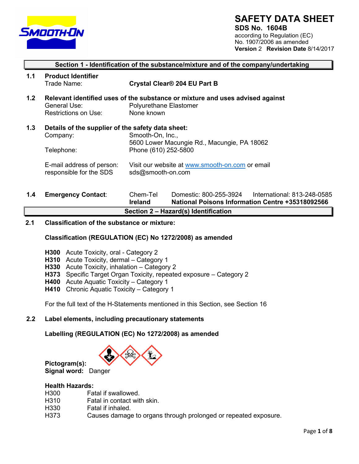

# **SAFETY DATA SHEET**

**SDS No. 1604B** according to Regulation (EC) No. 1907/2006 as amended **Version** 2 **Revision Date** 8/14/2017

|     | Section 1 - Identification of the substance/mixture and of the company/undertaking |                                                                                                                                                                 |                                                                               |                             |  |
|-----|------------------------------------------------------------------------------------|-----------------------------------------------------------------------------------------------------------------------------------------------------------------|-------------------------------------------------------------------------------|-----------------------------|--|
| 1.1 | <b>Product Identifier</b><br>Trade Name:                                           |                                                                                                                                                                 | Crystal Clear® 204 EU Part B                                                  |                             |  |
| 1.2 | General Use:<br>Restrictions on Use:                                               | Polyurethane Elastomer<br>None known                                                                                                                            | Relevant identified uses of the substance or mixture and uses advised against |                             |  |
| 1.3 | Details of the supplier of the safety data sheet:<br>Company:<br>Telephone:        | Smooth-On, Inc.,<br>5600 Lower Macungie Rd., Macungie, PA 18062<br>Phone (610) 252-5800<br>Visit our website at www.smooth-on.com or email<br>sds@smooth-on.com |                                                                               |                             |  |
|     | E-mail address of person:<br>responsible for the SDS                               |                                                                                                                                                                 |                                                                               |                             |  |
| 1.4 | <b>Emergency Contact:</b>                                                          | Chem-Tel                                                                                                                                                        | Domestic: 800-255-3924                                                        | International: 813-248-0585 |  |

**1.4 Emergency Contact**: Chem-Tel Domestic: 800-255-3924 International: 813-248-0585 **Ireland National Poisons Information Centre +35318092566 Section 2 – Hazard(s) Identification**

## **2.1 Classification of the substance or mixture:**

## **Classification (REGULATION (EC) No 1272/2008) as amended**

- **H300** Acute Toxicity, oral Category 2
- **H310** Acute Toxicity, dermal Category 1
- **H330** Acute Toxicity, inhalation Category 2
- **H373** Specific Target Organ Toxicity, repeated exposure Category 2
- **H400** Acute Aquatic Toxicity Category 1
- **H410** Chronic Aquatic Toxicity Category 1

For the full text of the H-Statements mentioned in this Section, see Section 16

## **2.2 Label elements, including precautionary statements**

**Labelling (REGULATION (EC) No 1272/2008) as amended**



# **Health Hazards:**

**Pictogram(s):** 

- H300 Fatal if swallowed.
- H310 Fatal in contact with skin.
- H330 Fatal if inhaled.<br>H373 Causes damage
- Causes damage to organs through prolonged or repeated exposure.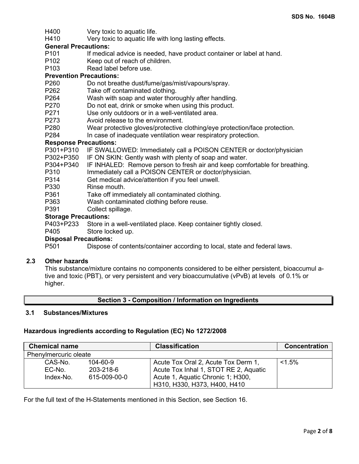- H400 Very toxic to aquatic life.
- H410 Very toxic to aquatic life with long lasting effects.

# **General Precautions:**

- If medical advice is needed, have product container or label at hand.
- P102 Keep out of reach of children.
- P103 Read label before use.

## **Prevention Precautions:**

- P260 Do not breathe dust/fume/gas/mist/vapours/spray.<br>P262 Take off contaminated clothing.
- P262 Take off contaminated clothing.<br>P264 Wash with soap and water thore
- Wash with soap and water thoroughly after handling.
- P270 Do not eat, drink or smoke when using this product.<br>P271 Use only outdoors or in a well-ventilated area.
- P271 Use only outdoors or in a well-ventilated area.<br>P273 Avoid release to the environment.
- Avoid release to the environment.
- P280 Wear protective gloves/protective clothing/eye protection/face protection.<br>P284 In case of inadequate ventilation wear respiratory protection.
- In case of inadequate ventilation wear respiratory protection.

## **Response Precautions:**

P301+P310 IF SWALLOWED: Immediately call a POISON CENTER or doctor/physician

- P302+P350 IF ON SKIN: Gently wash with plenty of soap and water.
- P304+P340 IF INHALED: Remove person to fresh air and keep comfortable for breathing.
- P310 Immediately call a POISON CENTER or doctor/physician.
- P314 Get medical advice/attention if you feel unwell.<br>P330 Rinse mouth.
- Rinse mouth.
- P361 Take off immediately all contaminated clothing.
- P363 Wash contaminated clothing before reuse.
- P391 Collect spillage.

# **Storage Precautions:**<br>P403+P233 Store in

Store in a well-ventilated place. Keep container tightly closed.

## P405 Store locked up.

## **Disposal Precautions:**

P501 Dispose of contents/container according to local, state and federal laws.

## **2.3 Other hazards**

This substance/mixture contains no components considered to be either persistent, bioaccumul ative and toxic (PBT), or very persistent and very bioaccumulative (vPvB) at levels of 0.1% or higher.

## **Section 3 - Composition / Information on Ingredients**

## **3.1 Substances/Mixtures**

## **Hazardous ingredients according to Regulation (EC) No 1272/2008**

| <b>Chemical name</b>  |                | <b>Classification</b>                 | <b>Concentration</b> |
|-----------------------|----------------|---------------------------------------|----------------------|
| Phenylmercuric oleate |                |                                       |                      |
| CAS-No.               | $104 - 60 - 9$ | Acute Tox Oral 2, Acute Tox Derm 1,   | $< 1.5\%$            |
| EC-No.                | 203-218-6      | Acute Tox Inhal 1, STOT RE 2, Aquatic |                      |
| Index-No.             | 615-009-00-0   | Acute 1, Aquatic Chronic 1; H300,     |                      |
|                       |                | H310, H330, H373, H400, H410          |                      |

For the full text of the H-Statements mentioned in this Section, see Section 16.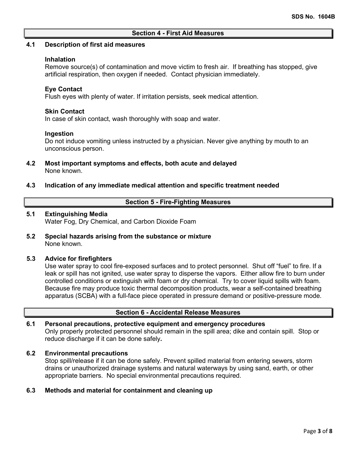### **Section 4 - First Aid Measures**

### **4.1 Description of first aid measures**

### **Inhalation**

Remove source(s) of contamination and move victim to fresh air. If breathing has stopped, give artificial respiration, then oxygen if needed. Contact physician immediately.

## **Eye Contact**

Flush eyes with plenty of water. If irritation persists, seek medical attention.

### **Skin Contact**

In case of skin contact, wash thoroughly with soap and water.

### **Ingestion**

Do not induce vomiting unless instructed by a physician. Never give anything by mouth to an unconscious person.

- **4.2 Most important symptoms and effects, both acute and delayed** None known.
- **4.3 Indication of any immediate medical attention and specific treatment needed**

### **Section 5 - Fire-Fighting Measures**

### **5.1 Extinguishing Media**

Water Fog, Dry Chemical, and Carbon Dioxide Foam

**5.2 Special hazards arising from the substance or mixture** None known.

## **5.3 Advice for firefighters**

Use water spray to cool fire-exposed surfaces and to protect personnel. Shut off "fuel" to fire. If a leak or spill has not ignited, use water spray to disperse the vapors. Either allow fire to burn under controlled conditions or extinguish with foam or dry chemical. Try to cover liquid spills with foam. Because fire may produce toxic thermal decomposition products, wear a self-contained breathing apparatus (SCBA) with a full-face piece operated in pressure demand or positive-pressure mode.

### **Section 6 - Accidental Release Measures**

## **6.1 Personal precautions, protective equipment and emergency procedures** Only properly protected personnel should remain in the spill area; dike and contain spill. Stop or reduce discharge if it can be done safely**.**

### **6.2 Environmental precautions**

Stop spill/release if it can be done safely. Prevent spilled material from entering sewers, storm drains or unauthorized drainage systems and natural waterways by using sand, earth, or other appropriate barriers.No special environmental precautions required.

## **6.3 Methods and material for containment and cleaning up**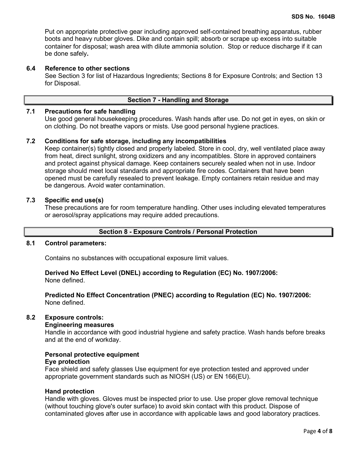Put on appropriate protective gear including approved self-contained breathing apparatus, rubber boots and heavy rubber gloves. Dike and contain spill; absorb or scrape up excess into suitable container for disposal; wash area with dilute ammonia solution. Stop or reduce discharge if it can be done safely**.**

## **6.4 Reference to other sections**

See Section 3 for list of Hazardous Ingredients; Sections 8 for Exposure Controls; and Section 13 for Disposal.

## **Section 7 - Handling and Storage**

## **7.1 Precautions for safe handling**

Use good general housekeeping procedures. Wash hands after use. Do not get in eyes, on skin or on clothing. Do not breathe vapors or mists. Use good personal hygiene practices.

## **7.2 Conditions for safe storage, including any incompatibilities**

Keep container(s) tightly closed and properly labeled. Store in cool, dry, well ventilated place away from heat, direct sunlight, strong oxidizers and any incompatibles. Store in approved containers and protect against physical damage. Keep containers securely sealed when not in use. Indoor storage should meet local standards and appropriate fire codes. Containers that have been opened must be carefully resealed to prevent leakage. Empty containers retain residue and may be dangerous. Avoid water contamination.

## **7.3 Specific end use(s)**

These precautions are for room temperature handling. Other uses including elevated temperatures or aerosol/spray applications may require added precautions.

### **Section 8 - Exposure Controls / Personal Protection**

## **8.1 Control parameters:**

Contains no substances with occupational exposure limit values.

**Derived No Effect Level (DNEL) according to Regulation (EC) No. 1907/2006:** 

None defined.

**Predicted No Effect Concentration (PNEC) according to Regulation (EC) No. 1907/2006:**  None defined.

## **8.2 Exposure controls:**

### **Engineering measures**

Handle in accordance with good industrial hygiene and safety practice. Wash hands before breaks and at the end of workday.

### **Personal protective equipment Eye protection**

Face shield and safety glasses Use equipment for eye protection tested and approved under appropriate government standards such as NIOSH (US) or EN 166(EU).

### **Hand protection**

Handle with gloves. Gloves must be inspected prior to use. Use proper glove removal technique (without touching glove's outer surface) to avoid skin contact with this product. Dispose of contaminated gloves after use in accordance with applicable laws and good laboratory practices.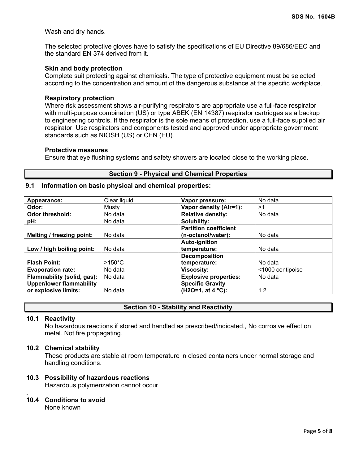Wash and dry hands.

The selected protective gloves have to satisfy the specifications of EU Directive 89/686/EEC and the standard EN 374 derived from it.

### **Skin and body protection**

Complete suit protecting against chemicals. The type of protective equipment must be selected according to the concentration and amount of the dangerous substance at the specific workplace.

### **Respiratory protection**

Where risk assessment shows air-purifying respirators are appropriate use a full-face respirator with multi-purpose combination (US) or type ABEK (EN 14387) respirator cartridges as a backup to engineering controls. If the respirator is the sole means of protection, use a full-face supplied air respirator. Use respirators and components tested and approved under appropriate government standards such as NIOSH (US) or CEN (EU).

### **Protective measures**

Ensure that eye flushing systems and safety showers are located close to the working place.

## **Section 9 - Physical and Chemical Properties**

## **9.1 Information on basic physical and chemical properties:**

| Appearance:                     | Clear liquid     | Vapor pressure:              | No data          |
|---------------------------------|------------------|------------------------------|------------------|
| Odor:                           | Musty            | Vapor density (Air=1):       | >1               |
| Odor threshold:                 | No data          | <b>Relative density:</b>     | No data          |
| pH:                             | No data          | Solubility:                  |                  |
|                                 |                  | <b>Partition coefficient</b> |                  |
| Melting / freezing point:       | No data          | (n-octanol/water):           | No data          |
|                                 |                  | <b>Auto-ignition</b>         |                  |
| Low / high boiling point:       | No data          | temperature:                 | No data          |
|                                 |                  | <b>Decomposition</b>         |                  |
| <b>Flash Point:</b>             | $>150^{\circ}$ C | temperature:                 | No data          |
| <b>Evaporation rate:</b>        | No data          | <b>Viscosity:</b>            | <1000 centipoise |
| Flammability (solid, gas):      | No data          | <b>Explosive properties:</b> | No data          |
| <b>Upper/lower flammability</b> |                  | <b>Specific Gravity</b>      |                  |
| or explosive limits:            | No data          | (H2O=1, at 4 °C):            | 1.2              |

## **Section 10 - Stability and Reactivity**

### **10.1 Reactivity**

No hazardous reactions if stored and handled as prescribed/indicated., No corrosive effect on metal. Not fire propagating.

### **10.2 Chemical stability**

These products are stable at room temperature in closed containers under normal storage and handling conditions.

### **10.3 Possibility of hazardous reactions**

Hazardous polymerization cannot occur

### . **10.4 Conditions to avoid**

None known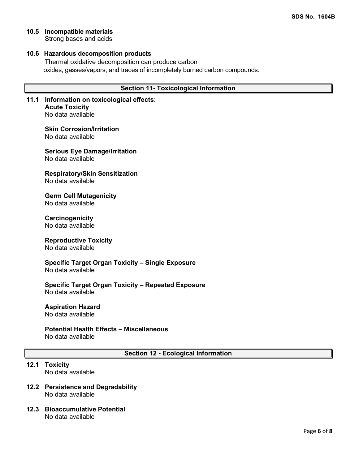**10.5 Incompatible materials**

Strong bases and acids

## **10.6 Hazardous decomposition products**

Thermal oxidative decomposition can produce carbon oxides, gasses/vapors, and traces of incompletely burned carbon compounds.

## **Section 11- Toxicological Information**

**11.1 Information on toxicological effects: Acute Toxicity** No data available

> **Skin Corrosion/Irritation** No data available

**Serious Eye Damage/Irritation** No data available

**Respiratory/Skin Sensitization** No data available

**Germ Cell Mutagenicity** No data available

**Carcinogenicity** No data available

## **Reproductive Toxicity**

No data available

**Specific Target Organ Toxicity – Single Exposure** No data available

**Specific Target Organ Toxicity – Repeated Exposure** No data available

**Aspiration Hazard** No data available

# **Potential Health Effects – Miscellaneous**

No data available

**Section 12 - Ecological Information**

# **12.1 Toxicity**

No data available

- **12.2 Persistence and Degradability** No data available
- **12.3 Bioaccumulative Potential** No data available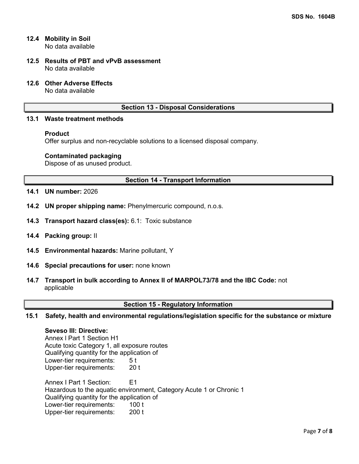- **12.4 Mobility in Soil** No data available
- **12.5 Results of PBT and vPvB assessment** No data available
- **12.6 Other Adverse Effects**

No data available

## **Section 13 - Disposal Considerations**

## **13.1 Waste treatment methods**

## **Product**

Offer surplus and non-recyclable solutions to a licensed disposal company.

## **Contaminated packaging**

Dispose of as unused product.

## **Section 14 - Transport Information**

- **14.1 UN number:** 2026
- **14.2 UN proper shipping name:** Phenylmercuric compound, n.o.s.
- **14.3 Transport hazard class(es):** 6.1: Toxic substance
- **14.4 Packing group:** II
- **14.5 Environmental hazards:** Marine pollutant, Y
- **14.6 Special precautions for user:** none known
- **14.7 Transport in bulk according to Annex II of MARPOL73/78 and the IBC Code:** not applicable

## **Section 15 - Regulatory Information**

**15.1 Safety, health and environmental regulations/legislation specific for the substance or mixture**

## **Seveso III: Directive:**

Annex l Part 1 Section H1 Acute toxic Category 1, all exposure routes Qualifying quantity for the application of Lower-tier requirements: 5 t Upper-tier requirements: Annex I Part 1 Section: E1 Hazardous to the aquatic environment, Category Acute 1 or Chronic 1 Qualifying quantity for the application of Lower-tier requirements: 100 t Upper-tier requirements: 200 t